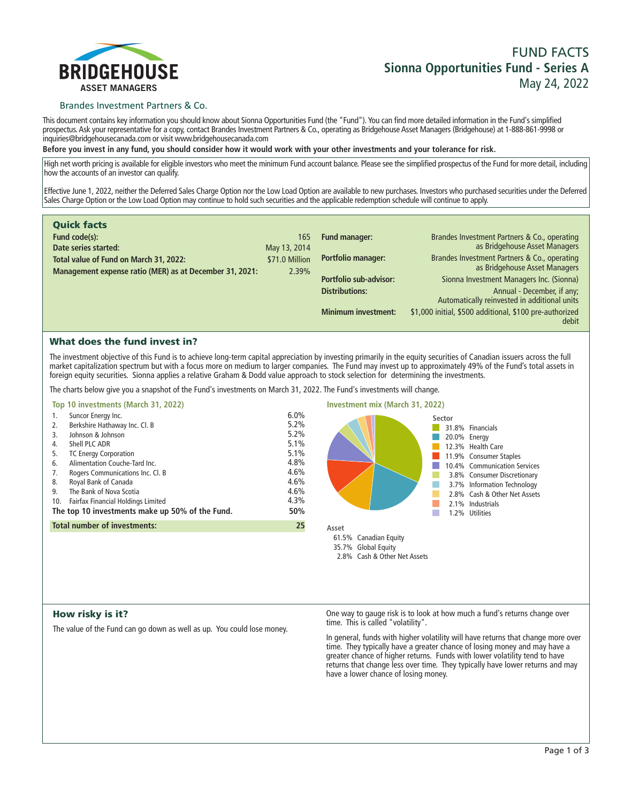

## Brandes Investment Partners & Co.

**This document contains key information you should know about Sionna Opportunities Fund (the "Fund"). You can find more detailed information in the Fund's simplified prospectus. Ask your representative for a copy, contact Brandes Investment Partners & Co., operating as Bridgehouse Asset Managers (Bridgehouse) at 1-888-861-9998 or inquiries@bridgehousecanada.com or visit www.bridgehousecanada.com**

**Before you invest in any fund, you should consider how it would work with your other investments and your tolerance for risk.**

**High net worth pricing is available for eligible investors who meet the minimum Fund account balance. Please see the simplified prospectus of the Fund for more detail, including how the accounts of an investor can qualify.**

**Effective June 1, 2022, neither the Deferred Sales Charge Option nor the Low Load Option are available to new purchases. Investors who purchased securities under the Deferred Sales Charge Option or the Low Load Option may continue to hold such securities and the applicable redemption schedule will continue to apply.**

| <b>Quick facts</b>                                                                                |                                |                            |                                                                               |
|---------------------------------------------------------------------------------------------------|--------------------------------|----------------------------|-------------------------------------------------------------------------------|
| Fund code(s):<br>Date series started:                                                             | 165                            | Fund manager:              | Brandes Investment Partners & Co., operating<br>as Bridgehouse Asset Managers |
|                                                                                                   | May 13, 2014<br>\$71.0 Million | <b>Portfolio manager:</b>  | Brandes Investment Partners & Co., operating                                  |
| Total value of Fund on March 31, 2022:<br>Management expense ratio (MER) as at December 31, 2021: | 2.39%                          |                            | as Bridgehouse Asset Managers                                                 |
|                                                                                                   |                                | Portfolio sub-advisor:     | Sionna Investment Managers Inc. (Sionna)                                      |
|                                                                                                   |                                | <b>Distributions:</b>      | Annual - December, if any;<br>Automatically reinvested in additional units    |
|                                                                                                   |                                | <b>Minimum investment:</b> | \$1,000 initial, \$500 additional, \$100 pre-authorized<br>debit              |

# What does the fund invest in?

**The investment objective of this Fund is to achieve long-term capital appreciation by investing primarily in the equity securities of Canadian issuers across the full market capitalization spectrum but with a focus more on medium to larger companies. The Fund may invest up to approximately 49% of the Fund's total assets in foreign equity securities. Sionna applies a relative Graham & Dodd value approach to stock selection for determining the investments.**

**The charts below give you a snapshot of the Fund's investments on March 31, 2022. The Fund's investments will change.**

| Top 10 investments (March 31, 2022)                                                                                                                                                                                                                                                                                                                                                                     |                                                                                           | Investment mix (March 31, 2022)                                                                                                                                                                                                                              |
|---------------------------------------------------------------------------------------------------------------------------------------------------------------------------------------------------------------------------------------------------------------------------------------------------------------------------------------------------------------------------------------------------------|-------------------------------------------------------------------------------------------|--------------------------------------------------------------------------------------------------------------------------------------------------------------------------------------------------------------------------------------------------------------|
| Suncor Energy Inc.<br>1.<br>Berkshire Hathaway Inc. Cl. B<br>2.<br>Johnson & Johnson<br>3.<br>Shell PLC ADR<br>4.<br><b>TC Energy Corporation</b><br>5.<br>Alimentation Couche-Tard Inc.<br>6.<br>Rogers Communications Inc. Cl. B<br>7.<br>Royal Bank of Canada<br>8.<br>The Bank of Nova Scotia<br>9.<br>Fairfax Financial Holdings Limited<br>10.<br>The top 10 investments make up 50% of the Fund. | 6.0%<br>5.2%<br>5.2%<br>5.1%<br>5.1%<br>4.8%<br>$4.6\%$<br>$4.6\%$<br>4.6%<br>4.3%<br>50% | Sector<br>31.8% Financials<br>20.0% Energy<br>12.3% Health Care<br>11.9% Consumer Staples<br>10.4% Communication Services<br>3.8% Consumer Discretionary<br>3.7% Information Technology<br>2.8% Cash & Other Net Assets<br>2.1% Industrials<br>.2% Utilities |
| <b>Total number of investments:</b>                                                                                                                                                                                                                                                                                                                                                                     | 25                                                                                        | Asset                                                                                                                                                                                                                                                        |
|                                                                                                                                                                                                                                                                                                                                                                                                         |                                                                                           | 61.5% Canadian Equity<br>35.7% Global Fquity                                                                                                                                                                                                                 |

## How risky is it?

**The value of the Fund can go down as well as up. You could lose money.**

**One way to gauge risk is to look at how much a fund's returns change over time. This is called "volatility".**

**2.8% Cash & Other Net Assets**

**In general, funds with higher volatility will have returns that change more over time. They typically have a greater chance of losing money and may have a greater chance of higher returns. Funds with lower volatility tend to have**  returns that change less over time. They typically have lower returns and may **have a lower chance of losing money.**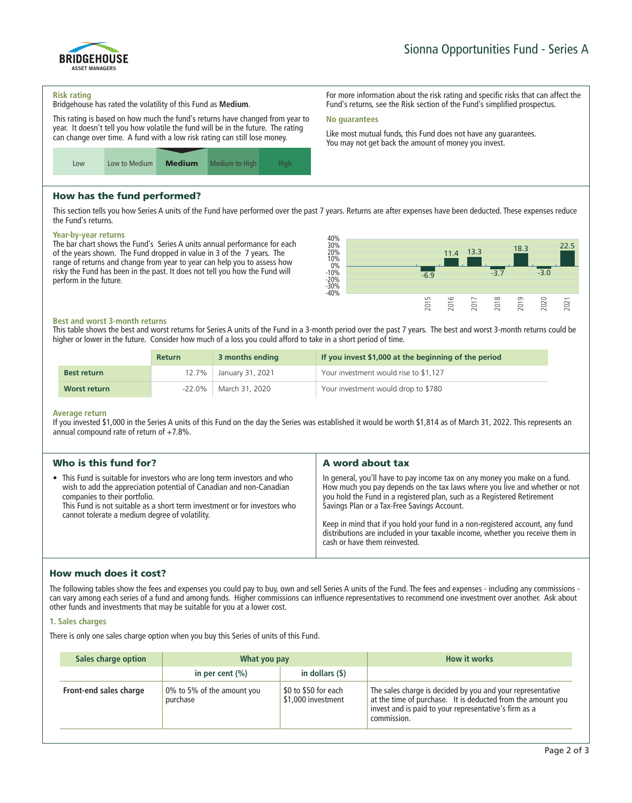#### **Risk rating**

ASSET MANAGERS

BRIDGEHOUSE

**Bridgehouse has rated the volatility of this Fund as Medium.**

**This rating is based on how much the fund's returns have changed from year to year. It doesn't tell you how volatile the fund will be in the future. The rating can change over time. A fund with a low risk rating can still lose money.**



# How has the fund performed?

**This section tells you how Series A units of the Fund have performed over the past 7 years. Returns are after expenses have been deducted. These expenses reduce the Fund's returns.**

**No guarantees**

### **Year-by-year returns**

**The bar chart shows the Fund's Series A units annual performance for each of the years shown. The Fund dropped in value in 3 of the 7 years. The range of returns and change from year to year can help you to assess how risky the Fund has been in the past. It does not tell you how the Fund will perform in the future.**



**For more information about the risk rating and specific risks that can affect the Fund's returns, see the Risk section of the Fund's simplified prospectus.**

**Like most mutual funds, this Fund does not have any guarantees. You may not get back the amount of money you invest.**

### **Best and worst 3-month returns**

**This table shows the best and worst returns for Series A units of the Fund in a 3-month period over the past 7 years. The best and worst 3-month returns could be higher or lower in the future. Consider how much of a loss you could afford to take in a short period of time.**

|                    | <b>Return</b> | 3 months ending        | If you invest \$1,000 at the beginning of the period |
|--------------------|---------------|------------------------|------------------------------------------------------|
| <b>Best return</b> |               | 12.7% January 31, 2021 | Your investment would rise to \$1,127                |
| Worst return       | $-22.0\%$     | March 31, 2020         | Your investment would drop to \$780                  |

#### **Average return**

**If you invested \$1,000 in the Series A units of this Fund on the day the Series was established it would be worth \$1,814 as of March 31, 2022. This represents an annual compound rate of return of +7.8%.**

| Who is this fund for?                                                                                                                                                                                                                                                                                            | A word about tax                                                                                                                                                                                                                                                                                                                                                                                                                                                                       |
|------------------------------------------------------------------------------------------------------------------------------------------------------------------------------------------------------------------------------------------------------------------------------------------------------------------|----------------------------------------------------------------------------------------------------------------------------------------------------------------------------------------------------------------------------------------------------------------------------------------------------------------------------------------------------------------------------------------------------------------------------------------------------------------------------------------|
| • This Fund is suitable for investors who are long term investors and who<br>wish to add the appreciation potential of Canadian and non-Canadian<br>companies to their portfolio.<br>This Fund is not suitable as a short term investment or for investors who<br>cannot tolerate a medium degree of volatility. | In general, you'll have to pay income tax on any money you make on a fund.<br>How much you pay depends on the tax laws where you live and whether or not<br>you hold the Fund in a registered plan, such as a Registered Retirement<br>Savings Plan or a Tax-Free Savings Account.<br>Keep in mind that if you hold your fund in a non-registered account, any fund<br>distributions are included in your taxable income, whether you receive them in<br>cash or have them reinvested. |

# How much does it cost?

**The following tables show the fees and expenses you could pay to buy, own and sell Series A units of the Fund. The fees and expenses - including any commissions can vary among each series of a fund and among funds. Higher commissions can influence representatives to recommend one investment over another. Ask about other funds and investments that may be suitable for you at a lower cost.**

## **1. Sales charges**

**There is only one sales charge option when you buy this Series of units of this Fund.**

| Sales charge option    | What you pay                           |                                            | <b>How it works</b>                                                                                                                                                                               |
|------------------------|----------------------------------------|--------------------------------------------|---------------------------------------------------------------------------------------------------------------------------------------------------------------------------------------------------|
|                        | in per cent $(\% )$                    | in dollars $($ \$ $)$                      |                                                                                                                                                                                                   |
| Front-end sales charge | 0% to 5% of the amount you<br>purchase | \$0 to \$50 for each<br>\$1,000 investment | The sales charge is decided by you and your representative<br>at the time of purchase. It is deducted from the amount you<br>invest and is paid to your representative's firm as a<br>commission. |